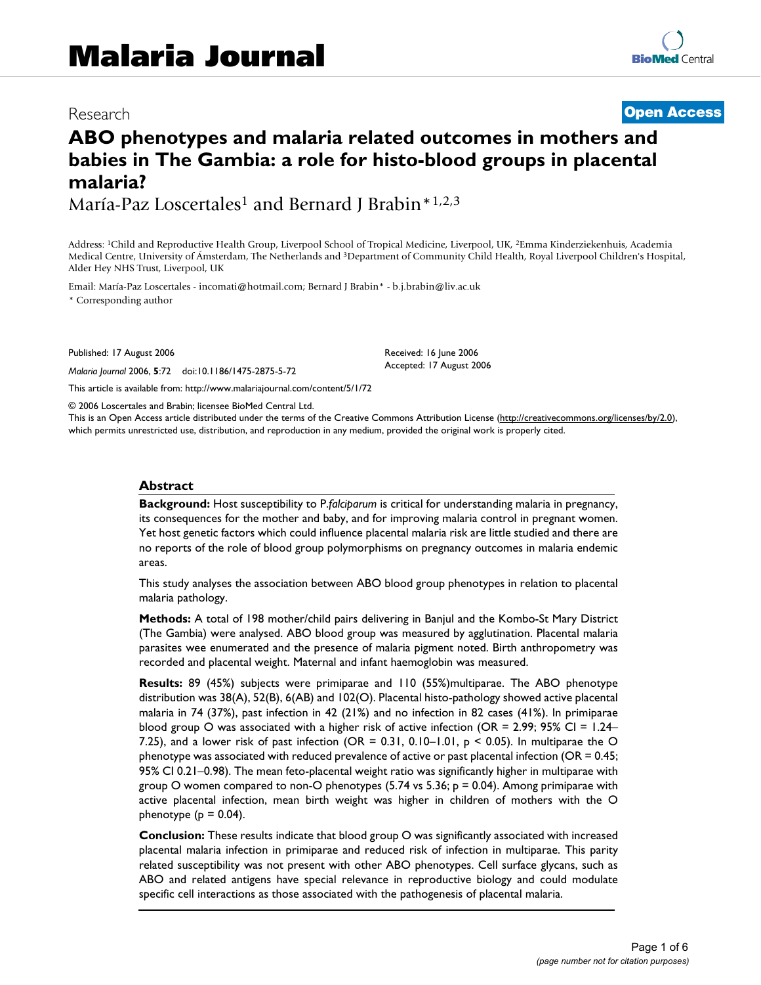## Research **[Open Access](http://www.biomedcentral.com/info/about/charter/)**

# **ABO phenotypes and malaria related outcomes in mothers and babies in The Gambia: a role for histo-blood groups in placental malaria?**

María-Paz Loscertales<sup>1</sup> and Bernard J Brabin\*<sup>1,2,3</sup>

Address: 1Child and Reproductive Health Group, Liverpool School of Tropical Medicine, Liverpool, UK, 2Emma Kinderziekenhuis, Academia Medical Centre, University of Ámsterdam, The Netherlands and 3Department of Community Child Health, Royal Liverpool Children's Hospital, Alder Hey NHS Trust, Liverpool, UK

Email: María-Paz Loscertales - incomati@hotmail.com; Bernard J Brabin\* - b.j.brabin@liv.ac.uk \* Corresponding author

Published: 17 August 2006

*Malaria Journal* 2006, **5**:72 doi:10.1186/1475-2875-5-72

[This article is available from: http://www.malariajournal.com/content/5/1/72](http://www.malariajournal.com/content/5/1/72)

© 2006 Loscertales and Brabin; licensee BioMed Central Ltd.

This is an Open Access article distributed under the terms of the Creative Commons Attribution License [\(http://creativecommons.org/licenses/by/2.0\)](http://creativecommons.org/licenses/by/2.0), which permits unrestricted use, distribution, and reproduction in any medium, provided the original work is properly cited.

Received: 16 June 2006 Accepted: 17 August 2006

#### **Abstract**

**Background:** Host susceptibility to P.*falciparum* is critical for understanding malaria in pregnancy, its consequences for the mother and baby, and for improving malaria control in pregnant women. Yet host genetic factors which could influence placental malaria risk are little studied and there are no reports of the role of blood group polymorphisms on pregnancy outcomes in malaria endemic areas.

This study analyses the association between ABO blood group phenotypes in relation to placental malaria pathology.

**Methods:** A total of 198 mother/child pairs delivering in Banjul and the Kombo-St Mary District (The Gambia) were analysed. ABO blood group was measured by agglutination. Placental malaria parasites wee enumerated and the presence of malaria pigment noted. Birth anthropometry was recorded and placental weight. Maternal and infant haemoglobin was measured.

**Results:** 89 (45%) subjects were primiparae and 110 (55%)multiparae. The ABO phenotype distribution was 38(A), 52(B), 6(AB) and 102(O). Placental histo-pathology showed active placental malaria in 74 (37%), past infection in 42 (21%) and no infection in 82 cases (41%). In primiparae blood group O was associated with a higher risk of active infection (OR = 2.99; 95% CI = 1.24– 7.25), and a lower risk of past infection (OR =  $0.31$ ,  $0.10-1.01$ , p < 0.05). In multiparae the O phenotype was associated with reduced prevalence of active or past placental infection (OR = 0.45; 95% CI 0.21–0.98). The mean feto-placental weight ratio was significantly higher in multiparae with group O women compared to non-O phenotypes  $(5.74 \text{ vs } 5.36; p = 0.04)$ . Among primiparae with active placental infection, mean birth weight was higher in children of mothers with the O phenotype ( $p = 0.04$ ).

**Conclusion:** These results indicate that blood group O was significantly associated with increased placental malaria infection in primiparae and reduced risk of infection in multiparae. This parity related susceptibility was not present with other ABO phenotypes. Cell surface glycans, such as ABO and related antigens have special relevance in reproductive biology and could modulate specific cell interactions as those associated with the pathogenesis of placental malaria.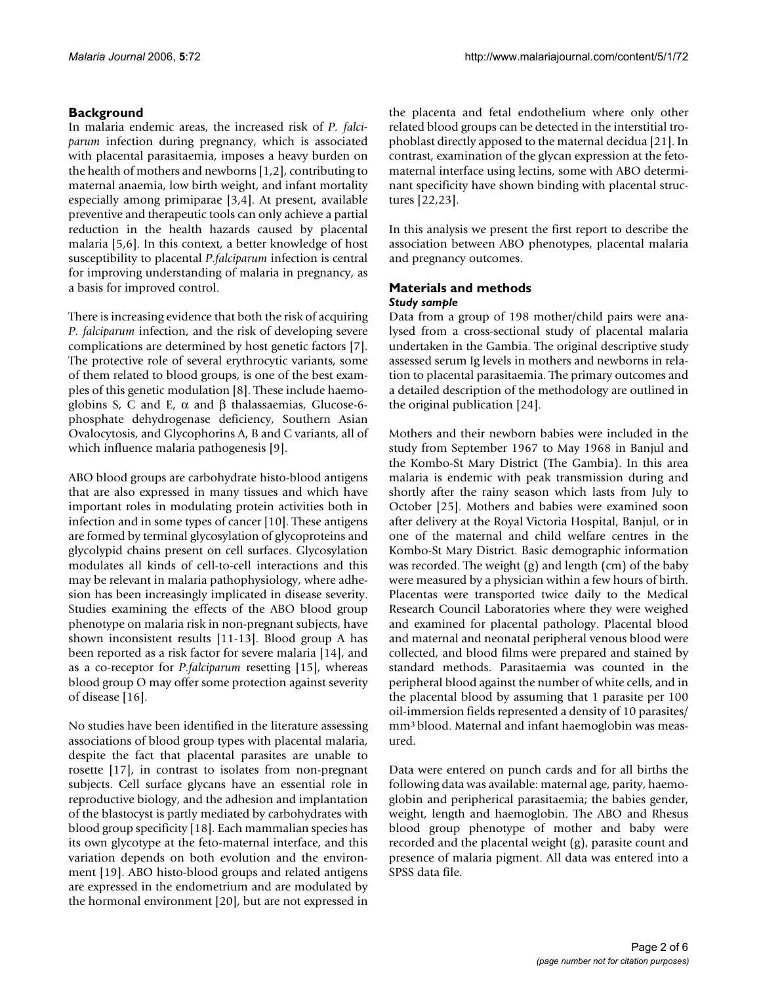### **Background**

In malaria endemic areas, the increased risk of *P. falciparum* infection during pregnancy, which is associated with placental parasitaemia, imposes a heavy burden on the health of mothers and newborns [1,2], contributing to maternal anaemia, low birth weight, and infant mortality especially among primiparae [3,4]. At present, available preventive and therapeutic tools can only achieve a partial reduction in the health hazards caused by placental malaria [5,6]. In this context, a better knowledge of host susceptibility to placental *P*.*falciparum* infection is central for improving understanding of malaria in pregnancy, as a basis for improved control.

There is increasing evidence that both the risk of acquiring *P. falciparum* infection, and the risk of developing severe complications are determined by host genetic factors [7]. The protective role of several erythrocytic variants, some of them related to blood groups, is one of the best examples of this genetic modulation [8]. These include haemoglobins S, C and E, α and β thalassaemias, Glucose-6 phosphate dehydrogenase deficiency, Southern Asian Ovalocytosis, and Glycophorins A, B and C variants, all of which influence malaria pathogenesis [9].

ABO blood groups are carbohydrate histo-blood antigens that are also expressed in many tissues and which have important roles in modulating protein activities both in infection and in some types of cancer [10]. These antigens are formed by terminal glycosylation of glycoproteins and glycolypid chains present on cell surfaces. Glycosylation modulates all kinds of cell-to-cell interactions and this may be relevant in malaria pathophysiology, where adhesion has been increasingly implicated in disease severity. Studies examining the effects of the ABO blood group phenotype on malaria risk in non-pregnant subjects, have shown inconsistent results [11-13]. Blood group A has been reported as a risk factor for severe malaria [14], and as a co-receptor for *P*.*falciparum* resetting [15], whereas blood group O may offer some protection against severity of disease [16].

No studies have been identified in the literature assessing associations of blood group types with placental malaria, despite the fact that placental parasites are unable to rosette [17], in contrast to isolates from non-pregnant subjects. Cell surface glycans have an essential role in reproductive biology, and the adhesion and implantation of the blastocyst is partly mediated by carbohydrates with blood group specificity [18]. Each mammalian species has its own glycotype at the feto-maternal interface, and this variation depends on both evolution and the environment [19]. ABO histo-blood groups and related antigens are expressed in the endometrium and are modulated by the hormonal environment [20], but are not expressed in the placenta and fetal endothelium where only other related blood groups can be detected in the interstitial trophoblast directly apposed to the maternal decidua [21]. In contrast, examination of the glycan expression at the fetomaternal interface using lectins, some with ABO determinant specificity have shown binding with placental structures [22,23].

In this analysis we present the first report to describe the association between ABO phenotypes, placental malaria and pregnancy outcomes.

#### **Materials and methods** *Study sample*

Data from a group of 198 mother/child pairs were analysed from a cross-sectional study of placental malaria undertaken in the Gambia. The original descriptive study assessed serum Ig levels in mothers and newborns in relation to placental parasitaemia. The primary outcomes and a detailed description of the methodology are outlined in the original publication [24].

Mothers and their newborn babies were included in the study from September 1967 to May 1968 in Banjul and the Kombo-St Mary District (The Gambia). In this area malaria is endemic with peak transmission during and shortly after the rainy season which lasts from July to October [25]. Mothers and babies were examined soon after delivery at the Royal Victoria Hospital, Banjul, or in one of the maternal and child welfare centres in the Kombo-St Mary District. Basic demographic information was recorded. The weight (g) and length (cm) of the baby were measured by a physician within a few hours of birth. Placentas were transported twice daily to the Medical Research Council Laboratories where they were weighed and examined for placental pathology. Placental blood and maternal and neonatal peripheral venous blood were collected, and blood films were prepared and stained by standard methods. Parasitaemia was counted in the peripheral blood against the number of white cells, and in the placental blood by assuming that 1 parasite per 100 oil-immersion fields represented a density of 10 parasites/ mm3 blood. Maternal and infant haemoglobin was measured.

Data were entered on punch cards and for all births the following data was available: maternal age, parity, haemoglobin and peripherical parasitaemia; the babies gender, weight, length and haemoglobin. The ABO and Rhesus blood group phenotype of mother and baby were recorded and the placental weight (g), parasite count and presence of malaria pigment. All data was entered into a SPSS data file.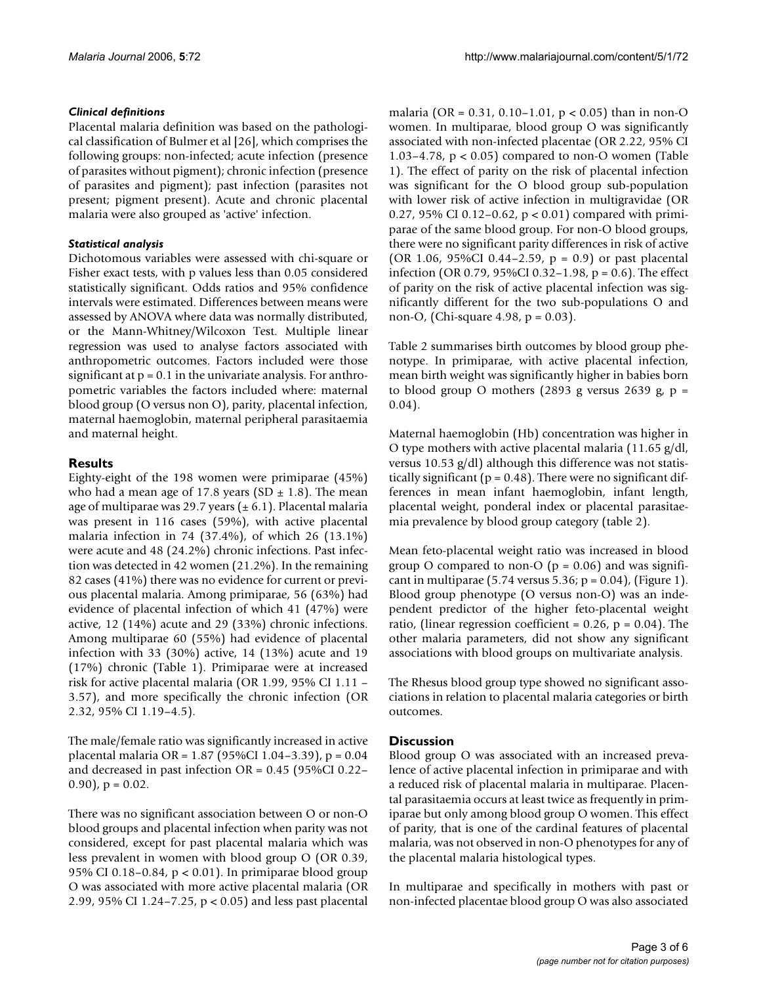#### *Clinical definitions*

Placental malaria definition was based on the pathological classification of Bulmer et al [26], which comprises the following groups: non-infected; acute infection (presence of parasites without pigment); chronic infection (presence of parasites and pigment); past infection (parasites not present; pigment present). Acute and chronic placental malaria were also grouped as 'active' infection.

#### *Statistical analysis*

Dichotomous variables were assessed with chi-square or Fisher exact tests, with p values less than 0.05 considered statistically significant. Odds ratios and 95% confidence intervals were estimated. Differences between means were assessed by ANOVA where data was normally distributed, or the Mann-Whitney/Wilcoxon Test. Multiple linear regression was used to analyse factors associated with anthropometric outcomes. Factors included were those significant at  $p = 0.1$  in the univariate analysis. For anthropometric variables the factors included where: maternal blood group (O versus non O), parity, placental infection, maternal haemoglobin, maternal peripheral parasitaemia and maternal height.

#### **Results**

Eighty-eight of the 198 women were primiparae (45%) who had a mean age of 17.8 years (SD  $\pm$  1.8). The mean age of multiparae was 29.7 years  $(\pm 6.1)$ . Placental malaria was present in 116 cases (59%), with active placental malaria infection in 74 (37.4%), of which 26 (13.1%) were acute and 48 (24.2%) chronic infections. Past infection was detected in 42 women (21.2%). In the remaining 82 cases (41%) there was no evidence for current or previous placental malaria. Among primiparae, 56 (63%) had evidence of placental infection of which 41 (47%) were active, 12 (14%) acute and 29 (33%) chronic infections. Among multiparae 60 (55%) had evidence of placental infection with 33 (30%) active, 14 (13%) acute and 19 (17%) chronic (Table 1). Primiparae were at increased risk for active placental malaria (OR 1.99, 95% CI 1.11 – 3.57), and more specifically the chronic infection (OR 2.32, 95% CI 1.19–4.5).

The male/female ratio was significantly increased in active placental malaria OR = 1.87 (95%CI 1.04–3.39), p = 0.04 and decreased in past infection OR = 0.45 (95%CI 0.22–  $(0.90)$ ,  $p = 0.02$ .

There was no significant association between O or non-O blood groups and placental infection when parity was not considered, except for past placental malaria which was less prevalent in women with blood group O (OR 0.39, 95% CI 0.18–0.84, p < 0.01). In primiparae blood group O was associated with more active placental malaria (OR 2.99, 95% CI 1.24–7.25, p < 0.05) and less past placental

malaria (OR =  $0.31$ ,  $0.10-1.01$ ,  $p < 0.05$ ) than in non-O women. In multiparae, blood group O was significantly associated with non-infected placentae (OR 2.22, 95% CI 1.03–4.78,  $p < 0.05$ ) compared to non-O women (Table 1). The effect of parity on the risk of placental infection was significant for the O blood group sub-population with lower risk of active infection in multigravidae (OR 0.27, 95% CI 0.12–0.62, p < 0.01) compared with primiparae of the same blood group. For non-O blood groups, there were no significant parity differences in risk of active (OR 1.06, 95%CI 0.44–2.59,  $p = 0.9$ ) or past placental infection (OR 0.79, 95%CI 0.32–1.98, p = 0.6). The effect of parity on the risk of active placental infection was significantly different for the two sub-populations O and non-O, (Chi-square 4.98, p = 0.03).

Table 2 summarises birth outcomes by blood group phenotype. In primiparae, with active placental infection, mean birth weight was significantly higher in babies born to blood group O mothers (2893 g versus 2639 g,  $p =$ 0.04).

Maternal haemoglobin (Hb) concentration was higher in O type mothers with active placental malaria (11.65 g/dl, versus 10.53 g/dl) although this difference was not statistically significant ( $p = 0.48$ ). There were no significant differences in mean infant haemoglobin, infant length, placental weight, ponderal index or placental parasitaemia prevalence by blood group category (table 2).

Mean feto-placental weight ratio was increased in blood group O compared to non-O ( $p = 0.06$ ) and was significant in multiparae  $(5.74 \text{ versus } 5.36; p = 0.04)$ , (Figure 1). Blood group phenotype (O versus non-O) was an independent predictor of the higher feto-placental weight ratio, (linear regression coefficient =  $0.26$ , p =  $0.04$ ). The other malaria parameters, did not show any significant associations with blood groups on multivariate analysis.

The Rhesus blood group type showed no significant associations in relation to placental malaria categories or birth outcomes.

#### **Discussion**

Blood group O was associated with an increased prevalence of active placental infection in primiparae and with a reduced risk of placental malaria in multiparae. Placental parasitaemia occurs at least twice as frequently in primiparae but only among blood group O women. This effect of parity, that is one of the cardinal features of placental malaria, was not observed in non-O phenotypes for any of the placental malaria histological types.

In multiparae and specifically in mothers with past or non-infected placentae blood group O was also associated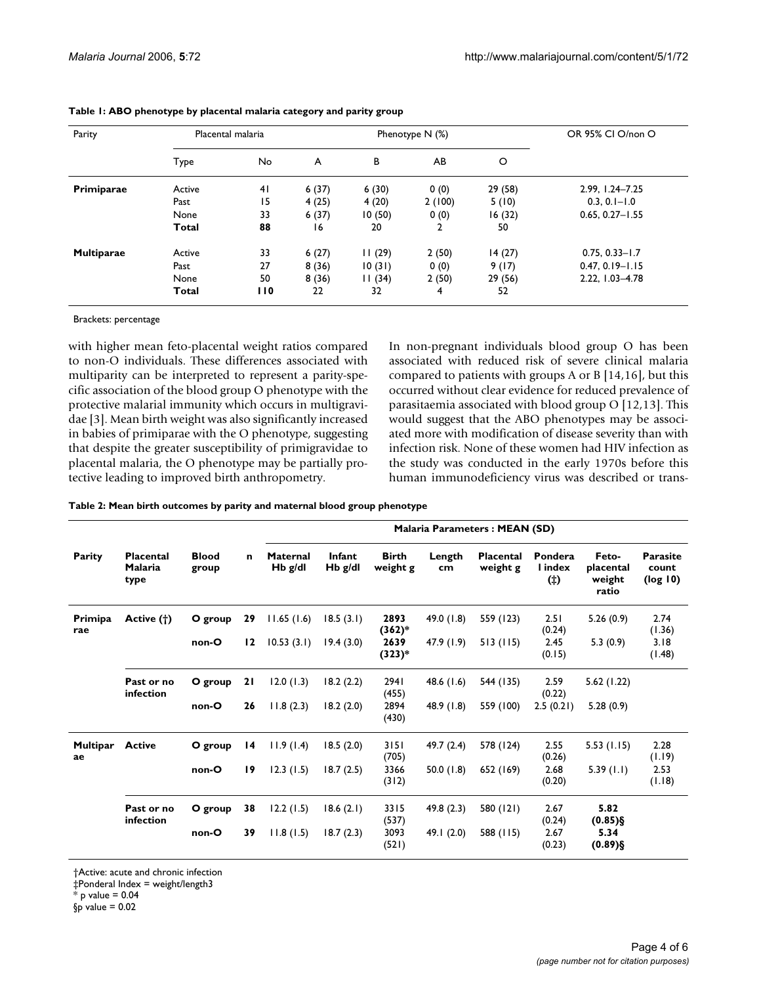| Parity            |        | Placental malaria |       | Phenotype $N$ (%) | OR 95% CI O/non O |         |                     |
|-------------------|--------|-------------------|-------|-------------------|-------------------|---------|---------------------|
|                   | Type   | No.               | A     | B                 | AB                | O       |                     |
| Primiparae        | Active | 4 <sub>1</sub>    | 6(37) | 6(30)             | 0(0)              | 29 (58) | 2.99, 1.24-7.25     |
|                   | Past   | 15                | 4(25) | 4(20)             | 2(100)            | 5(10)   | $0.3, 0.1 - 1.0$    |
|                   | None   | 33                | 6(37) | 10(50)            | 0(0)              | 16 (32) | $0.65, 0.27 - 1.55$ |
|                   | Total  | 88                | 16    | 20                | $\overline{2}$    | 50      |                     |
| <b>Multiparae</b> | Active | 33                | 6(27) | 11(29)            | 2(50)             | 14(27)  | $0.75, 0.33 - 1.7$  |
|                   | Past   | 27                | 8(36) | 10(31)            | 0(0)              | 9(17)   | $0.47, 0.19 - 1.15$ |
|                   | None   | 50                | 8(36) | 11(34)            | 2(50)             | 29 (56) | 2.22, 1.03-4.78     |
|                   | Total  | 110               | 22    | 32                | 4                 | 52      |                     |

Brackets: percentage

with higher mean feto-placental weight ratios compared to non-O individuals. These differences associated with multiparity can be interpreted to represent a parity-specific association of the blood group O phenotype with the protective malarial immunity which occurs in multigravidae [3]. Mean birth weight was also significantly increased in babies of primiparae with the O phenotype, suggesting that despite the greater susceptibility of primigravidae to placental malaria, the O phenotype may be partially protective leading to improved birth anthropometry.

In non-pregnant individuals blood group O has been associated with reduced risk of severe clinical malaria compared to patients with groups A or B [14,16], but this occurred without clear evidence for reduced prevalence of parasitaemia associated with blood group O [12,13]. This would suggest that the ABO phenotypes may be associated more with modification of disease severity than with infection risk. None of these women had HIV infection as the study was conducted in the early 1970s before this human immunodeficiency virus was described or trans-

**Table 2: Mean birth outcomes by parity and maternal blood group phenotype**

| Parity                | <b>Placental</b><br><b>Malaria</b><br>type | <b>Blood</b><br>group | $\mathbf n$     | <b>Malaria Parameters: MEAN (SD)</b> |                            |                          |              |                              |                           |                                       |                                      |
|-----------------------|--------------------------------------------|-----------------------|-----------------|--------------------------------------|----------------------------|--------------------------|--------------|------------------------------|---------------------------|---------------------------------------|--------------------------------------|
|                       |                                            |                       |                 | <b>Maternal</b><br>$Hb$ g/dl         | <b>Infant</b><br>$Hb$ g/dl | <b>Birth</b><br>weight g | Length<br>cm | <b>Placental</b><br>weight g | Pondera<br>I index<br>(†) | Feto-<br>placental<br>weight<br>ratio | <b>Parasite</b><br>count<br>(log 10) |
| Primipa<br>rae        | Active (†)                                 | O group               | 29              | 11.65(1.6)                           | 18.5(3.1)                  | 2893<br>$(362)*$         | 49.0 $(1.8)$ | 559 (123)                    | 2.51<br>(0.24)            | 5.26(0.9)                             | 2.74<br>(1.36)                       |
|                       |                                            | non-O                 | 12              | 10.53(3.1)                           | 19.4(3.0)                  | 2639<br>$(323)*$         | 47.9(1.9)    | 513(115)                     | 2.45<br>(0.15)            | 5.3(0.9)                              | 3.18<br>(1.48)                       |
|                       | Past or no<br>infection                    | O group               | 21              | 12.0(1.3)                            | 18.2(2.2)                  | 2941<br>(455)            | 48.6 $(1.6)$ | 544 (135)                    | 2.59<br>(0.22)            | 5.62 (1.22)                           |                                      |
|                       |                                            | non-O                 | 26              | 11.8(2.3)                            | 18.2(2.0)                  | 2894<br>(430)            | 48.9(1.8)    | 559 (100)                    | 2.5(0.21)                 | 5.28(0.9)                             |                                      |
| <b>Multipar</b><br>ae | <b>Active</b>                              | O group               | $\overline{14}$ | 11.9(1.4)                            | 18.5(2.0)                  | 3151<br>(705)            | 49.7 (2.4)   | 578 (124)                    | 2.55<br>(0.26)            | 5.53(1.15)                            | 2.28<br>(1.19)                       |
|                       |                                            | non-O                 | 19              | 12.3(1.5)                            | 18.7(2.5)                  | 3366<br>(312)            | 50.0(1.8)    | 652 (169)                    | 2.68<br>(0.20)            | 5.39(1.1)                             | 2.53<br>(1.18)                       |
|                       | Past or no<br>infection                    | O group               | 38              | 12.2(1.5)                            | 18.6(2.1)                  | 3315<br>(537)            | 49.8(2.3)    | 580 (121)                    | 2.67<br>(0.24)            | 5.82<br>$(0.85)$ §                    |                                      |
|                       |                                            | non-O                 | 39              | 11.8(1.5)                            | 18.7(2.3)                  | 3093<br>(521)            | 49.1 $(2.0)$ | 588 (115)                    | 2.67<br>(0.23)            | 5.34<br>$(0.89)$ §                    |                                      |

†Active: acute and chronic infection

‡Ponderal Index = weight/length3

 $*$  p value = 0.04

 $$p$ value = 0.02$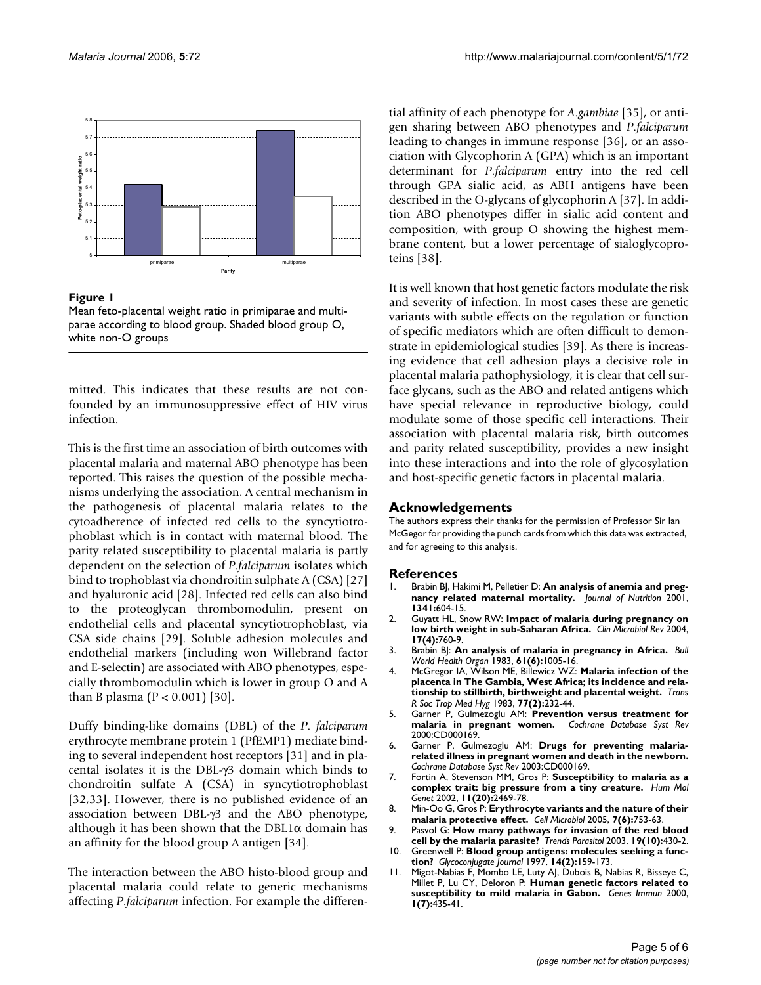

#### Figure 1

Mean feto-placental weight ratio in primiparae and multiparae according to blood group. Shaded blood group O, white non-O groups

mitted. This indicates that these results are not confounded by an immunosuppressive effect of HIV virus infection.

This is the first time an association of birth outcomes with placental malaria and maternal ABO phenotype has been reported. This raises the question of the possible mechanisms underlying the association. A central mechanism in the pathogenesis of placental malaria relates to the cytoadherence of infected red cells to the syncytiotrophoblast which is in contact with maternal blood. The parity related susceptibility to placental malaria is partly dependent on the selection of *P*.*falciparum* isolates which bind to trophoblast via chondroitin sulphate A (CSA) [27] and hyaluronic acid [28]. Infected red cells can also bind to the proteoglycan thrombomodulin, present on endothelial cells and placental syncytiotrophoblast, via CSA side chains [29]. Soluble adhesion molecules and endothelial markers (including won Willebrand factor and E-selectin) are associated with ABO phenotypes, especially thrombomodulin which is lower in group O and A than B plasma ( $P < 0.001$ ) [30].

Duffy binding-like domains (DBL) of the *P*. *falciparum* erythrocyte membrane protein 1 (PfEMP1) mediate binding to several independent host receptors [31] and in placental isolates it is the DBL-γ3 domain which binds to chondroitin sulfate A (CSA) in syncytiotrophoblast [32,33]. However, there is no published evidence of an association between DBL-γ3 and the ABO phenotype, although it has been shown that the DBL1 $\alpha$  domain has an affinity for the blood group A antigen [34].

The interaction between the ABO histo-blood group and placental malaria could relate to generic mechanisms affecting *P*.*falciparum* infection. For example the differential affinity of each phenotype for *A*.*gambiae* [35], or antigen sharing between ABO phenotypes and *P*.*falciparum* leading to changes in immune response [36], or an association with Glycophorin A (GPA) which is an important determinant for *P*.*falciparum* entry into the red cell through GPA sialic acid, as ABH antigens have been described in the O-glycans of glycophorin A [37]. In addition ABO phenotypes differ in sialic acid content and composition, with group O showing the highest membrane content, but a lower percentage of sialoglycoproteins [38].

It is well known that host genetic factors modulate the risk and severity of infection. In most cases these are genetic variants with subtle effects on the regulation or function of specific mediators which are often difficult to demonstrate in epidemiological studies [39]. As there is increasing evidence that cell adhesion plays a decisive role in placental malaria pathophysiology, it is clear that cell surface glycans, such as the ABO and related antigens which have special relevance in reproductive biology, could modulate some of those specific cell interactions. Their association with placental malaria risk, birth outcomes and parity related susceptibility, provides a new insight into these interactions and into the role of glycosylation and host-specific genetic factors in placental malaria.

#### **Acknowledgements**

The authors express their thanks for the permission of Professor Sir Ian McGegor for providing the punch cards from which this data was extracted, and for agreeing to this analysis.

#### **References**

- 1. Brabin BJ, Hakimi M, Pelletier D: **An analysis of anemia and pregnancy related maternal mortality.** *Journal of Nutrition* 2001, **1341:**604-15.
- 2. Guyatt HL, Snow RW: **[Impact of malaria during pregnancy on](http://www.ncbi.nlm.nih.gov/entrez/query.fcgi?cmd=Retrieve&db=PubMed&dopt=Abstract&list_uids=15489346) [low birth weight in sub-Saharan Africa.](http://www.ncbi.nlm.nih.gov/entrez/query.fcgi?cmd=Retrieve&db=PubMed&dopt=Abstract&list_uids=15489346)** *Clin Microbiol Rev* 2004, **17(4):**760-9.
- 3. Brabin BJ: **[An analysis of malaria in pregnancy in Africa.](http://www.ncbi.nlm.nih.gov/entrez/query.fcgi?cmd=Retrieve&db=PubMed&dopt=Abstract&list_uids=6370484)** *Bull World Health Organ* 1983, **61(6):**1005-16.
- 4. McGregor IA, Wilson ME, Billewicz WZ: **[Malaria infection of the](http://www.ncbi.nlm.nih.gov/entrez/query.fcgi?cmd=Retrieve&db=PubMed&dopt=Abstract&list_uids=6346592) [placenta in The Gambia, West Africa; its incidence and rela](http://www.ncbi.nlm.nih.gov/entrez/query.fcgi?cmd=Retrieve&db=PubMed&dopt=Abstract&list_uids=6346592)[tionship to stillbirth, birthweight and placental weight.](http://www.ncbi.nlm.nih.gov/entrez/query.fcgi?cmd=Retrieve&db=PubMed&dopt=Abstract&list_uids=6346592)** *Trans R Soc Trop Med Hyg* 1983, **77(2):**232-44.
- 5. Garner P, Gulmezoglu AM: **[Prevention versus treatment for](http://www.ncbi.nlm.nih.gov/entrez/query.fcgi?cmd=Retrieve&db=PubMed&dopt=Abstract&list_uids=10796500) [malaria in pregnant women.](http://www.ncbi.nlm.nih.gov/entrez/query.fcgi?cmd=Retrieve&db=PubMed&dopt=Abstract&list_uids=10796500)** *Cochrane Database Syst Rev* 2000:CD000169.
- 6. Garner P, Gulmezoglu AM: **[Drugs for preventing malaria](http://www.ncbi.nlm.nih.gov/entrez/query.fcgi?cmd=Retrieve&db=PubMed&dopt=Abstract&list_uids=12535391)[related illness in pregnant women and death in the newborn.](http://www.ncbi.nlm.nih.gov/entrez/query.fcgi?cmd=Retrieve&db=PubMed&dopt=Abstract&list_uids=12535391)** *Cochrane Database Syst Rev* 2003:CD000169.
- 7. Fortin A, Stevenson MM, Gros P: **[Susceptibility to malaria as a](http://www.ncbi.nlm.nih.gov/entrez/query.fcgi?cmd=Retrieve&db=PubMed&dopt=Abstract&list_uids=12351583) [complex trait: big pressure from a tiny creature.](http://www.ncbi.nlm.nih.gov/entrez/query.fcgi?cmd=Retrieve&db=PubMed&dopt=Abstract&list_uids=12351583)** *Hum Mol Genet* 2002, **11(20):**2469-78.
- 8. Min-Oo G, Gros P: **[Erythrocyte variants and the nature of their](http://www.ncbi.nlm.nih.gov/entrez/query.fcgi?cmd=Retrieve&db=PubMed&dopt=Abstract&list_uids=15888079) [malaria protective effect.](http://www.ncbi.nlm.nih.gov/entrez/query.fcgi?cmd=Retrieve&db=PubMed&dopt=Abstract&list_uids=15888079)** *Cell Microbiol* 2005, **7(6):**753-63.
- 9. Pasvol G: **[How many pathways for invasion of the red blood](http://www.ncbi.nlm.nih.gov/entrez/query.fcgi?cmd=Retrieve&db=PubMed&dopt=Abstract&list_uids=14519576) [cell by the malaria parasite?](http://www.ncbi.nlm.nih.gov/entrez/query.fcgi?cmd=Retrieve&db=PubMed&dopt=Abstract&list_uids=14519576)** *Trends Parasitol* 2003, **19(10):**430-2.
- 10. Greenwell P: **[Blood group antigens: molecules seeking a func](http://www.ncbi.nlm.nih.gov/entrez/query.fcgi?cmd=Retrieve&db=PubMed&dopt=Abstract&list_uids=9111133)[tion?](http://www.ncbi.nlm.nih.gov/entrez/query.fcgi?cmd=Retrieve&db=PubMed&dopt=Abstract&list_uids=9111133)** *Glycoconjugate Journal* 1997, **14(2):**159-173.
- 11. Migot-Nabias F, Mombo LE, Luty AJ, Dubois B, Nabias R, Bisseye C, Millet P, Lu CY, Deloron P: **[Human genetic factors related to](http://www.ncbi.nlm.nih.gov/entrez/query.fcgi?cmd=Retrieve&db=PubMed&dopt=Abstract&list_uids=11196674) [susceptibility to mild malaria in Gabon.](http://www.ncbi.nlm.nih.gov/entrez/query.fcgi?cmd=Retrieve&db=PubMed&dopt=Abstract&list_uids=11196674)** *Genes Immun* 2000, **1(7):**435-41.